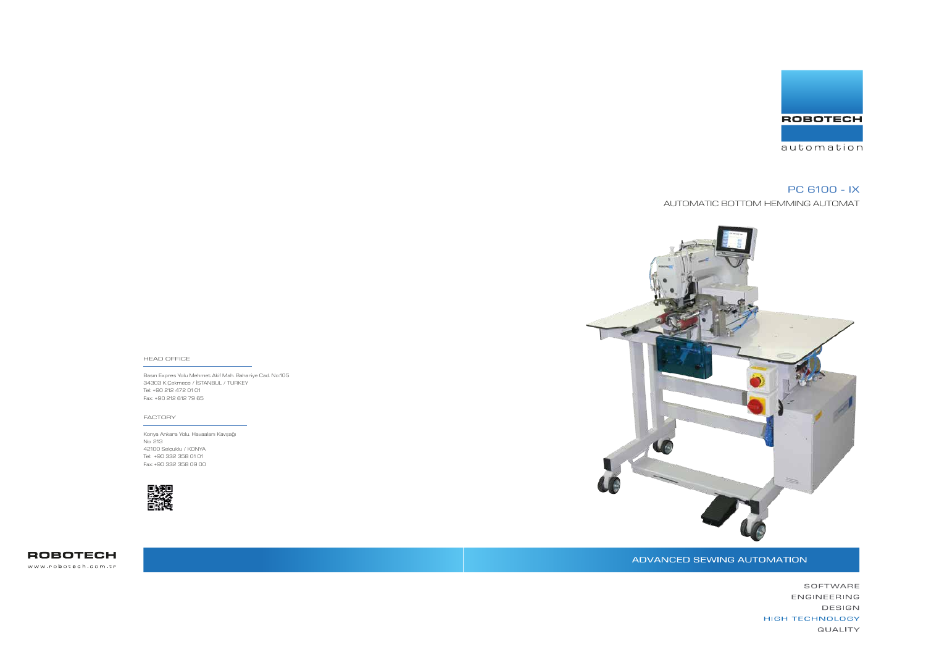Basın Expres Yolu Mehmet Akif Mah. Bahariye Cad. No:105 34303 K.Çekmece / İSTANBUL / TURKEY Tel: +90 212 472 01 01 Fax: +90 212 612 79 65



#### HEAD OFFICE

Konya Ankara Yolu. Havaalanı Kavşağı No: 213 42100 Selçuklu / KONYA Tel: +90 332 358 01 01 Fax: +90 332 358 09 00



**ROBOTECH** www.robotech.com.tr

ADVANCED SEWING AUTOMATION



#### FACTORY

# PC 6100 - IX

AUTOMATIC BOTTOM HEMMING AUTOMAT

SOFTWARE ENGINEERING DESIGN HIGH TECHNOLOGY QUALITY